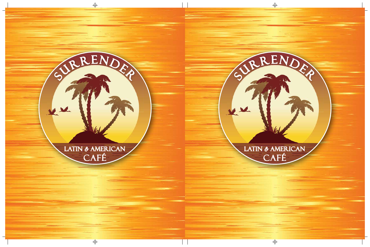

 $\frac{1}{2}$ 

S RENDER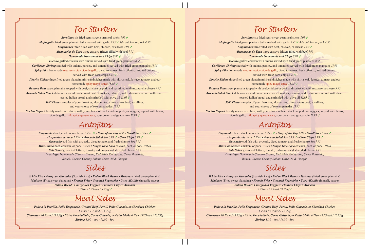### *For Starters*

*Sorullitos* six fried semi-sweet cornmeal sticks *7.95* 

*Mofonguito* fried green plantain balls mashed with garlic 7.95 V Add chicken or pork 4.50

*Empanadas* three filled with beef, chicken, or cheese 7.95  $\vee$ 

*Alcapurrias de Yuca* three cassava fritters filled with beef *7.95*

#### *Homemade Guacamole and Chips 8.95*

*Isleñito* grilled chicken with onions served with fried green plantains *8.95*

*Caribbean Shrimp* sautéed with onions, parsley, and tomatoes served with fried green plantains *11.95*

*Spicy Piko* homemade medium-spicy pico de gallo, diced tomatoes, fresh cilantro, and red onions served with fresh corn chips *8.95* 

*Jibarito Sliders* three fried green plantain mini-sandwiches made with skirt steak, lettuce, tomato, and our homemade spicy mayo sauce *18.95* 

*Banana Boat* sweet plantains topped with beef, chicken or pork and sprinkled with mozzarella cheese *9.95 Avocado Salad Snack* delicious avocado salad made with tomatoes, cilantro, and red onions, served with sliced toasted Italian bread, and sprinkled with olive oil *11.95* 

> *360° Platter* sampler of your favorites, alcapurrias, mini-canoas beef, sorullitos, and your choice of two empanadas *15.95*

*Nachos Superb* freshly made corn chips, with your choice of beef, chicken, pork, or veggies, topped with beans, pico de gallo, mild spicy queso sauce, sour cream and guacamole *12.95* 

### *Antojitos*

*Empanadas* beef, chicken, or cheese *2.75ea • Soup of the Day 6.95 • Sorullitos 1.50ea Alcapurrias de Yuca 2.75ea • Avocado Salad* 8oz *6.95 • Corn Chips 2.95 Gaspacho* cod fish with avocado, diced tomato, and fresh cilantro *8oz 7.95 Mini Canoa* beef, chicken, or pork *3.50ea • Single Taco Loco* chicken, beef, or pork *3.95ea Side Salad* green leaf lettuce, tomato, red onions and shredded cheese *5.95 Dressings: Homemade Cilantro Cream, Red-Wine Vinaigrette, Sweet Balsamic, Ranch, Caesar, Creamy Italian, Olive Oil & Vinegar*

### *Sides*

*White Rice • Arroz con Gandules* (Spanish Rice) • Red or Black Beans • Tostones (Fried green plantains) *Maduros* (Fried sweet plantains) *• French Fries • Steamed Vegetables • Yuca Al'Ajillo* (in garlic sauce) *Italian Bread • Chargrilled Veggies • Plantain Chips • Avocado 3.25sm / 5.25med / 9.25lg*

### *Meat Sides*

*Pollo a la Parrilla, Pollo Empanado, Ground Beef, Pernil, Pollo Guisado, or Shredded Chicken 5.95sm / 9.25med / 15.25lg Churrasco 10.25sm / 15.25lg • Bistec Encebollado, Carne Guisada, or Pollo Isleño 6.75sm / 9.75med / 16.75lg Shrimp 8.00 - 4pc / 14.00 - 8pc*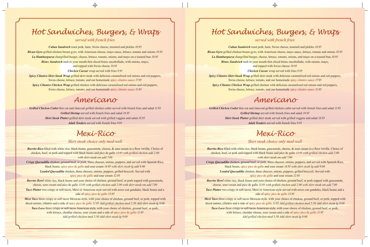## *Hot Sandwiches, Burgers, & Wraps*

### *served with french fries*

*Cuban Sandwich* roast pork, ham, Swiss cheese, mustard and pickles *10.95 Rican-Gyro* grilled chicken breast gyro, with American cheese, mayo sauce, lettuce, tomato and onions *10.95 La Hamburguesa* chargrilled burger, cheese, lettuce, tomato, onions, and mayo on a toasted bun *10.95 Bistec Sandwich* melt in your mouth thin sliced bistec encebollado, with onions, mayo, and topped with Swiss cheese *10.95*

*Chicken Caesar* wrap served with fries *9.95*

*Spicy Cilantro Skirt Steak Wrap grilled skirt steak with delicious caramelized red onions and red peppers,* Swiss cheese, lettuce, tomato, and our homemade spicy cilantro sauce *17.95*

*Spicy Cilantro Chicken Wrap* grilled chicken with delicious caramelized red onions and red peppers, Swiss cheese, lettuce, tomato, and our homemade spicy cilantro sauce *11.95*

### *Americano*

*Grilled Chicken Cutlet* thin cut and charcoal grilled chicken cutlet served with french fries and salad *11.95 Grilled Shrimp* served with french fries and salad *18.95 Skirt Steak Platter* grilled skirt steak served with grilled veggies and salad *18.95 Adult Tenders* served with french fries *9.95*

### *Mexi-Rico*

#### *Skirt steak choice only med-well*

*Burrito Rico* filled with white rice, black beans, guacamole, cheese, & sour cream in a flour tortilla. Choice of chicken, beef, or pork and topped with black beans and pico de gallo *13.95 with grilled chicken add 2.00 with skirt steak-sm add 7.00*

*Crispy Quesadilla* chicken, ground beef, or pork, three cheeses, onions, peppers, and served with Spanish Rice, black beans, spicy pico de gallo and sour cream *14.95 with skirt steak-lg add 9.00*

*Loaded Quesadilla* chicken, three cheeses, onions, peppers, grilled broccoli. Served with spicy pico de gallo and sour cream *12.95*

*Burrito Bowl* white rice, black beans and your choice of chicken, ground beef, or pork topped with guacamole, cheese, sour cream and pico de gallo *13.95 with grilled chicken add 2.00 with skirt steak-sm add 7.00*

*Taco Platter* two crispy or soft tacos, Mexi or American style served with arroz con gandules, black beans and a side of spicy pico de gallo *13.95*

*Mexi Taco* three crispy or soft tacos Mexican style, with your choice of chicken, ground beef, or pork, topped with diced onions, cilantro and a side of spicy pico de gallo *11.95 Add grilled chicken-med 5.50 Add skirt steak-lg 9.00*

*Taco Loco* three crispy or soft tacos American style, with your choice of chicken, ground beef, or pork, with lettuce, cheddar cheese, sour cream and a side of spicy pico de gallo *11.95 Add grilled chicken-med 5.50 Add skirt steak-lg 9.00*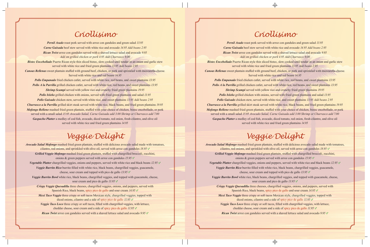### *Criollisimo*

*Pernil Asado* roast pork served with arroz con gandules and green salad *13.95 Carne Guisada* beef stew served with white rice and avocado *14.95 Add beans 2.95 Rican Twist* arroz con gandules served with a shaved lettuce salad and avocado *9.95 Add sm grilled chicken or pork 4.95 Add Churrasco 9.00*

*Bistec Encebollado* Puerto Rican style thin sliced bistec, slow cooked until tender in an onion and garlic stew served with white rice and fried green plantains *13.95 Add beans 2.95*

*Canoas Rellenas* sweet plantain stuffed with ground beef, chicken, or pork and sprinkled with mozzarella cheese. Served with white rice and red beans *14.95*

*Pollo Empanado* fried chicken cutlet, served with white rice, red beans, and sweet plantains *13.95 Pollo A la Parrilla* grilled chicken cutlet, served with white rice, red beans, and sweet plantains *13.95 Shrimp Scampi* served with yellow rice and crunchy fried green plantains *19.95* **Pollo Isleño** grilled chicken with onions, served with fried green plantains and salad 13.95 *Pollo Guisado* chicken stew, served with white rice, and sweet plantains *13.95 Add beans 2.95*

*Churrasco a la Parrilla* grilled skirt steak served with white rice, black beans, and fried green plantains *19.95 Mofongo Relleno* mashed fried green plantain, stuffed with your choice of chicken, bistec encebollado, or pork served with a small salad *15.95 Avocado Salad, Carne Guisada add 3.00 Shrimp or Churrasco add 7.00 Gaspacho Platter* a medley of cod fish, avocado, diced tomato, red onion, fresh cilantro, and olive oil served with white rice and fried green plantains *14.95*

# *Veggie Delight*

*Avocado Salad Mofongo* mashed fried green plantain, stuffed with delicious avocado salad made with tomatoes, cilantro, red onions, and sprinkled with olive oil, served with arroz con gandules *18.95 Grilled Veggie Mofongo* mashed fried green plantain, stuffed with chargrilled broccoli, zucchini, onions & green peppers served with arroz con gandules *15.95 Vegetable Platter* chargrilled veggies, onions and peppers, served with white rice and black beans *12.95 Veggie Burrito Rico* burrito filled with white rice, black beans, chargrilled veggies, guacamole, cheese, sour cream and topped with pico de gallo *13.95 Veggie Burrito Bowl* white rice, black beans, chargrilled veggies, and topped with guacamole, cheese, sour cream and pico de gallo *13.95 Crispy Veggie Quesadilla* three cheeses, chargrilled veggies, onions, and peppers, served with Spanish Rice, black beans, spicy pico de gallo and sour cream *14.95 Mexi Taco Veggie* three crispy or soft tacos Mexican style, chargrilled veggies, topped with diced onions, cilantro and a side of spicy pico de gallo *11.95 Veggie Taco Loco* three crispy or soft tacos, filled with chargrilled veggies, with lettuce, cheddar cheese, sour cream and a side of spicy pico de gallo *11.95 Rican Twist* arroz con gandules served with a shaved lettuce salad and avocado *9.95*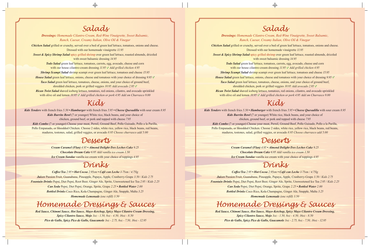## *Salads*

*Dressings: Homemade Cilantro Cream, Red-Wine Vinaigrette, Sweet Balsamic, Ranch, Caesar, Creamy Italian, Olive Oil & Vinegar*

*Chicken Salad* grilled or crunchy, served over a bed of green leaf lettuce, tomatoes, onions and cheese. Dressed with our homemade vinaigrette *11.95*

*Sweet & Spicy Shrimp Salad* spicy grilled shrimp over green leaf lettuce, roasted almonds, drizzled with sweet balsamic dressing *14.95*

> *Todo Salad* green leaf lettuce, tomatoes, carrots, egg, avocado, cheese and corn with our house cilantro-cream dressing *11.95 V Add grilled chicken 4.95*

*Shrimp Scampi Salad* shrimp scampi over green leaf lettuce, tomatoes and cheese *15.95*

*House Salad* green leaf lettuce, onions, cheese and tomatoes with your choice of dressing *9.95* 

*Taco Salad* green leaf lettuce, tomatoes, cheese, onions, and your choice of ground beef, shredded chicken, pork or grilled veggies *10.95 Add avocado 2.95* 

*Rican Twist Salad* shaved iceberg lettuce, tomatoes, red onions, cilantro, and avocado sprinkled with olive oil and lemon 10.95 V Add grilled chicken or pork 4.95 Add sm Churrasco 9.00

### *Kids*

*Kids Tenders* with french fries *5.50 • Hamburger* with french fries *5.95 • Cheese Quesadilla* with sour cream *8.95 Kids Burrito Bowl* (7 or younger) White rice, black beans, and your choice of chicken, ground beef, or pork and topped with cheese *7.95*

*Kids Combo* (7 or younger) Choose your meat, Pernil, Ground Beef, Pollo Guisado, Pollo a la Parilla, Pollo Empanado, or Shredded Chicken. Choose 2 sides, white rice, yellow rice, black beans, red beans, maduros, tostones, salad, grilled veggies, or avocado *8.95 Choose churrasco add 5.00*

### *Desserts*

*Cream Caramel (Flan) 4.95 • Almond Delight-Tres Leches Cake 9.25 Chocolate Dream Cake 6.95 Add vanilla ice cream 1.50 Ice Cream Sundae* vanilla ice cream with your choice of toppings *4.95*

### *Drinks*

*Coffee/Tea 2.95 • Hot Cocoa 2.95sm • Café con Leche 3.75sm / 4.75lg Juices* Passion Fruit, Guanabana, Pineapple, Papaya, Apple, Cranberry-Grape *3.50 / Kids 2.75 Fountain Drinks* Pepsi, Diet Pepsi, Root Beer, Ginger Ale, Sprite, Unsweetened Ice Tea *2.95 / Kids 2.25 Can Soda* Pepsi, Diet Pepsi, Orange, Sprite, Grape *2.25 • Bottled Water 2.00 Bottled Drinks* Coco Rico, Kola Champagne, Ginger Ale, Snapple, Malta *3.25 Homemade Lemonade (one refill) 3.50*

## *Homemade Dressings & Sauces*

*Red Sauce, Chimmi Sauce, Hot Sauce, Mayo-Ketchup, Spicy Mayo Cilantro Cream Dressing, Spicy Cilantro Sauce, Mojo 3oz - 1.50, 8oz - 4.50, 16oz - 8.50 Pico de Gallo, Spicy Pico de Gallo, Guacamole 3oz - 2.75, 8oz - 7.50, 16oz - 12.95*